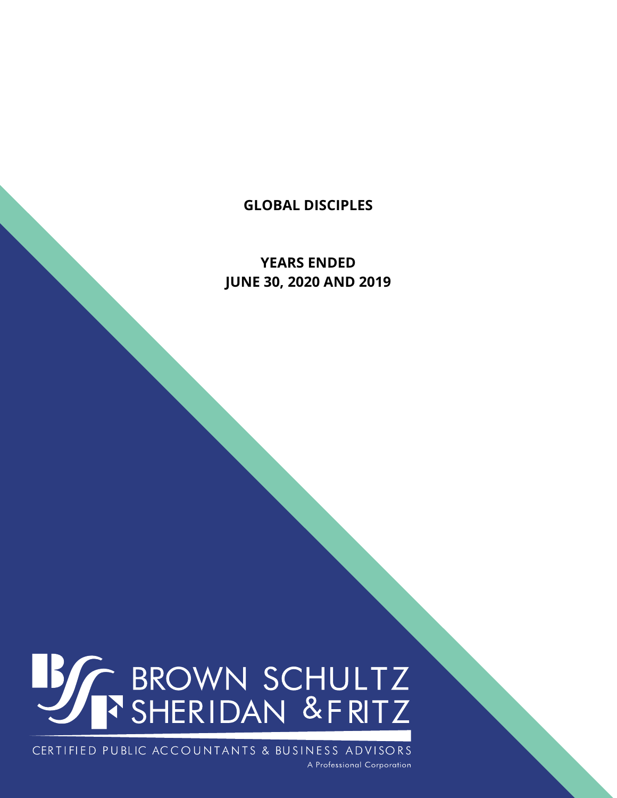**YEARS ENDED JUNE 30, 2020 AND 2019** 

# **BEAT BROWN SCHULTZ**

CERTIFIED PUBLIC ACCOUNTANTS & BUSINESS ADVISORS A Professional Corporation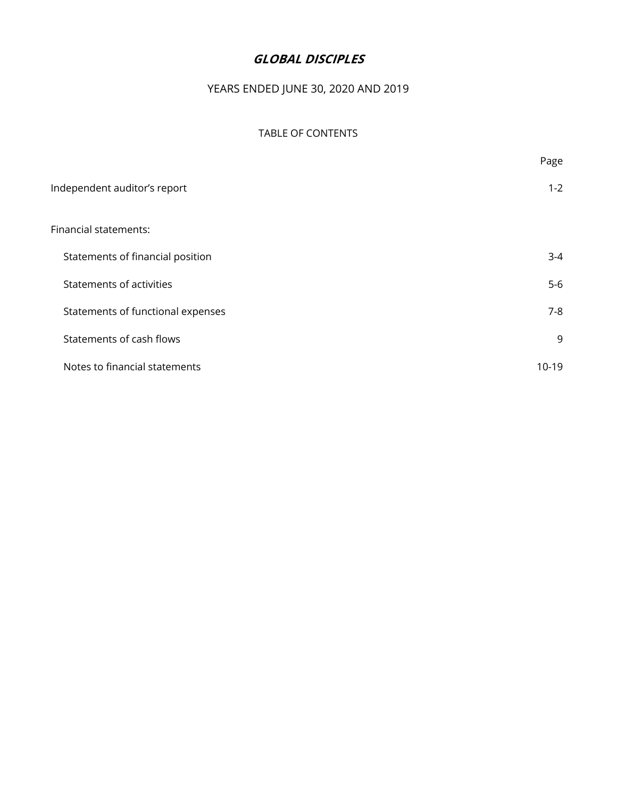# YEARS ENDED JUNE 30, 2020 AND 2019

## TABLE OF CONTENTS

|                                   | Page    |
|-----------------------------------|---------|
| Independent auditor's report      | $1 - 2$ |
| <b>Financial statements:</b>      |         |
| Statements of financial position  | $3-4$   |
| Statements of activities          | $5-6$   |
| Statements of functional expenses | $7 - 8$ |
| Statements of cash flows          | 9       |
| Notes to financial statements     | $10-19$ |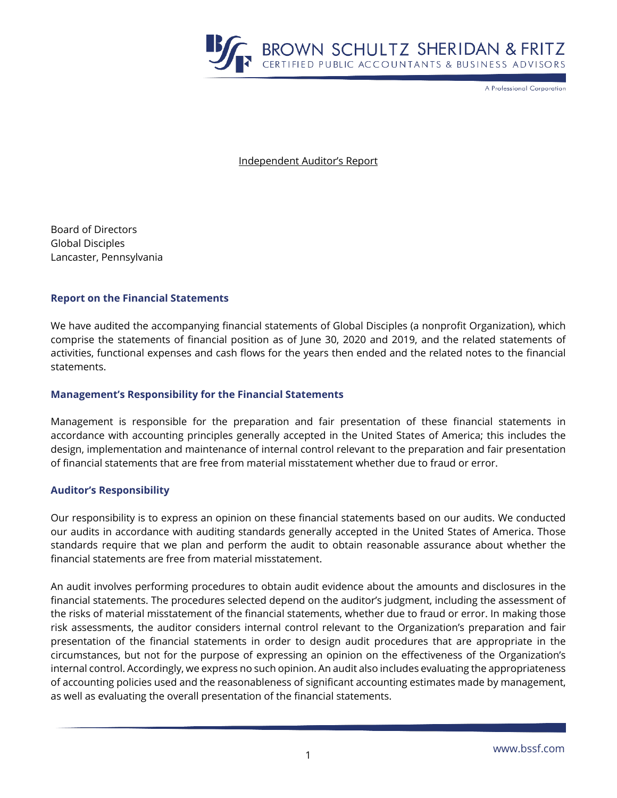

A Professional Corporation

Independent Auditor's Report

Board of Directors Global Disciples Lancaster, Pennsylvania

#### **Report on the Financial Statements**

We have audited the accompanying financial statements of Global Disciples (a nonprofit Organization), which comprise the statements of financial position as of June 30, 2020 and 2019, and the related statements of activities, functional expenses and cash flows for the years then ended and the related notes to the financial statements.

#### **Management's Responsibility for the Financial Statements**

Management is responsible for the preparation and fair presentation of these financial statements in accordance with accounting principles generally accepted in the United States of America; this includes the design, implementation and maintenance of internal control relevant to the preparation and fair presentation of financial statements that are free from material misstatement whether due to fraud or error.

#### **Auditor's Responsibility**

Our responsibility is to express an opinion on these financial statements based on our audits. We conducted our audits in accordance with auditing standards generally accepted in the United States of America. Those standards require that we plan and perform the audit to obtain reasonable assurance about whether the financial statements are free from material misstatement.

An audit involves performing procedures to obtain audit evidence about the amounts and disclosures in the financial statements. The procedures selected depend on the auditor's judgment, including the assessment of the risks of material misstatement of the financial statements, whether due to fraud or error. In making those risk assessments, the auditor considers internal control relevant to the Organization's preparation and fair presentation of the financial statements in order to design audit procedures that are appropriate in the circumstances, but not for the purpose of expressing an opinion on the effectiveness of the Organization's internal control. Accordingly, we express no such opinion. An audit also includes evaluating the appropriateness of accounting policies used and the reasonableness of significant accounting estimates made by management, as well as evaluating the overall presentation of the financial statements.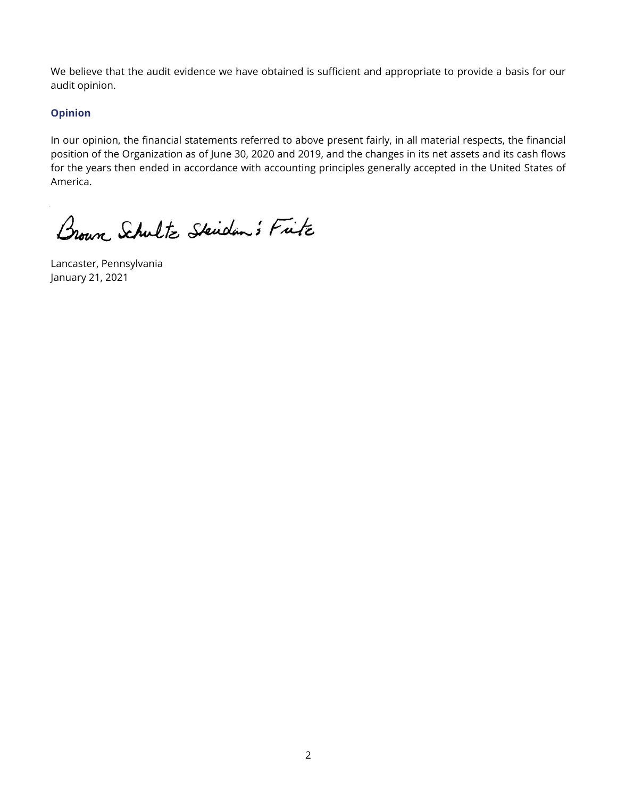We believe that the audit evidence we have obtained is sufficient and appropriate to provide a basis for our audit opinion.

#### **Opinion**

In our opinion, the financial statements referred to above present fairly, in all material respects, the financial position of the Organization as of June 30, 2020 and 2019, and the changes in its net assets and its cash flows for the years then ended in accordance with accounting principles generally accepted in the United States of America.

Brown Schultz Skidan's Fitz

Lancaster, Pennsylvania January 21, 2021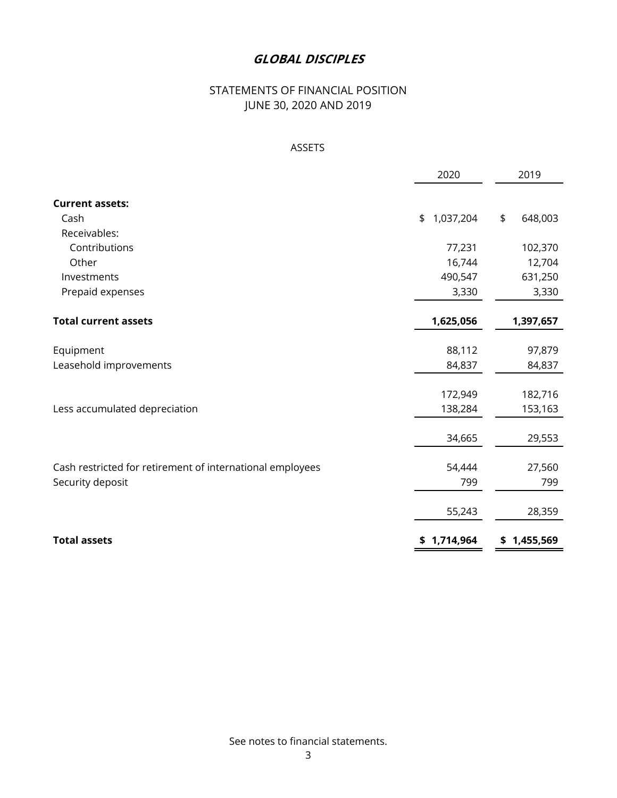# STATEMENTS OF FINANCIAL POSITION JUNE 30, 2020 AND 2019

#### ASSETS

|                                                                               | 2020            | 2019                     |
|-------------------------------------------------------------------------------|-----------------|--------------------------|
| <b>Current assets:</b>                                                        |                 |                          |
| Cash                                                                          | 1,037,204<br>\$ | $\frac{1}{2}$<br>648,003 |
| Receivables:                                                                  |                 |                          |
| Contributions                                                                 | 77,231          | 102,370                  |
| Other                                                                         | 16,744          | 12,704                   |
| Investments                                                                   | 490,547         | 631,250                  |
| Prepaid expenses                                                              | 3,330           | 3,330                    |
| <b>Total current assets</b>                                                   | 1,625,056       | 1,397,657                |
|                                                                               |                 |                          |
| Equipment                                                                     | 88,112          | 97,879                   |
| Leasehold improvements                                                        | 84,837          | 84,837                   |
|                                                                               |                 |                          |
|                                                                               | 172,949         | 182,716                  |
| Less accumulated depreciation                                                 | 138,284         | 153,163                  |
|                                                                               | 34,665          | 29,553                   |
|                                                                               | 54,444          | 27,560                   |
| Cash restricted for retirement of international employees<br>Security deposit | 799             | 799                      |
|                                                                               |                 |                          |
|                                                                               | 55,243          | 28,359                   |
| <b>Total assets</b>                                                           | \$1,714,964     | \$1,455,569              |

See notes to financial statements.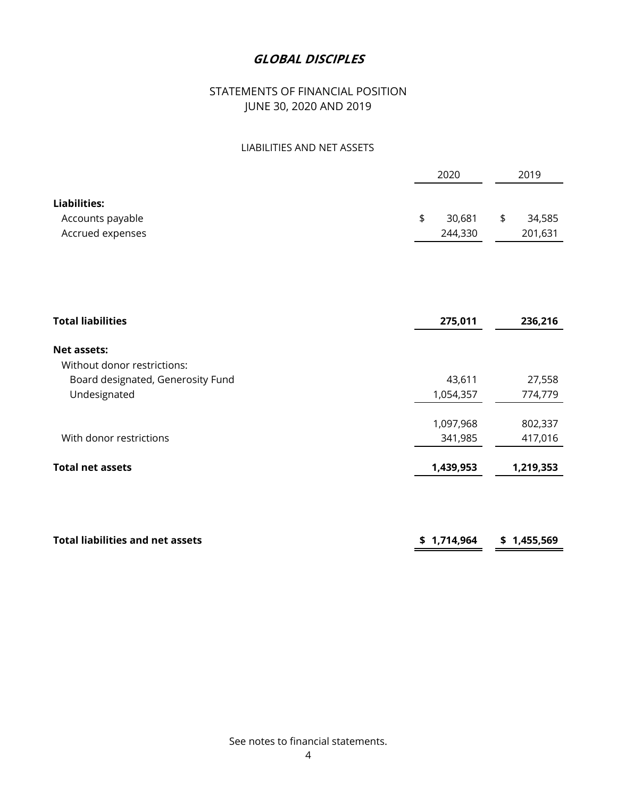# STATEMENTS OF FINANCIAL POSITION JUNE 30, 2020 AND 2019

#### LIABILITIES AND NET ASSETS

|                                                             | 2020                    | 2019                    |
|-------------------------------------------------------------|-------------------------|-------------------------|
| <b>Liabilities:</b><br>Accounts payable<br>Accrued expenses | \$<br>30,681<br>244,330 | \$<br>34,585<br>201,631 |
| <b>Total liabilities</b>                                    | 275,011                 | 236,216                 |
| <b>Net assets:</b>                                          |                         |                         |
| Without donor restrictions:                                 |                         |                         |
| Board designated, Generosity Fund<br>Undesignated           | 43,611<br>1,054,357     | 27,558<br>774,779       |
|                                                             |                         |                         |
|                                                             | 1,097,968               | 802,337                 |
| With donor restrictions                                     | 341,985                 | 417,016                 |
| <b>Total net assets</b>                                     | 1,439,953               | 1,219,353               |
| <b>Total liabilities and net assets</b>                     | \$1,714,964             | \$1,455,569             |
|                                                             |                         |                         |

See notes to financial statements.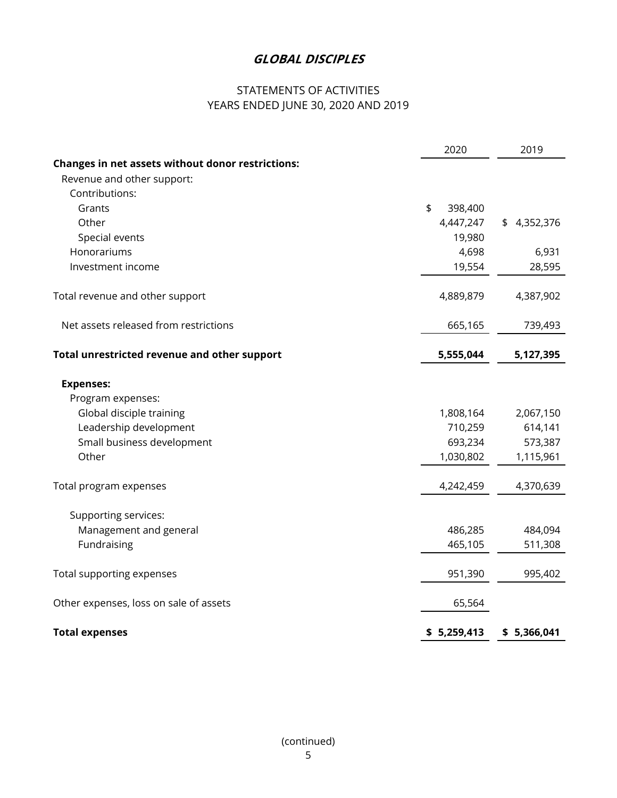# STATEMENTS OF ACTIVITIES YEARS ENDED JUNE 30, 2020 AND 2019

|                                                   | 2020          | 2019        |
|---------------------------------------------------|---------------|-------------|
| Changes in net assets without donor restrictions: |               |             |
| Revenue and other support:                        |               |             |
| Contributions:                                    |               |             |
| Grants                                            | \$<br>398,400 |             |
| Other                                             | 4,447,247     | \$4,352,376 |
| Special events                                    | 19,980        |             |
| Honorariums                                       | 4,698         | 6,931       |
| Investment income                                 | 19,554        | 28,595      |
| Total revenue and other support                   | 4,889,879     | 4,387,902   |
| Net assets released from restrictions             | 665,165       | 739,493     |
| Total unrestricted revenue and other support      | 5,555,044     | 5,127,395   |
| <b>Expenses:</b>                                  |               |             |
| Program expenses:                                 |               |             |
| Global disciple training                          | 1,808,164     | 2,067,150   |
| Leadership development                            | 710,259       | 614,141     |
| Small business development                        | 693,234       | 573,387     |
| Other                                             | 1,030,802     | 1,115,961   |
| Total program expenses                            | 4,242,459     | 4,370,639   |
| Supporting services:                              |               |             |
| Management and general                            | 486,285       | 484,094     |
| Fundraising                                       | 465,105       | 511,308     |
| Total supporting expenses                         | 951,390       | 995,402     |
| Other expenses, loss on sale of assets            | 65,564        |             |
| <b>Total expenses</b>                             | \$5,259,413   | \$5,366,041 |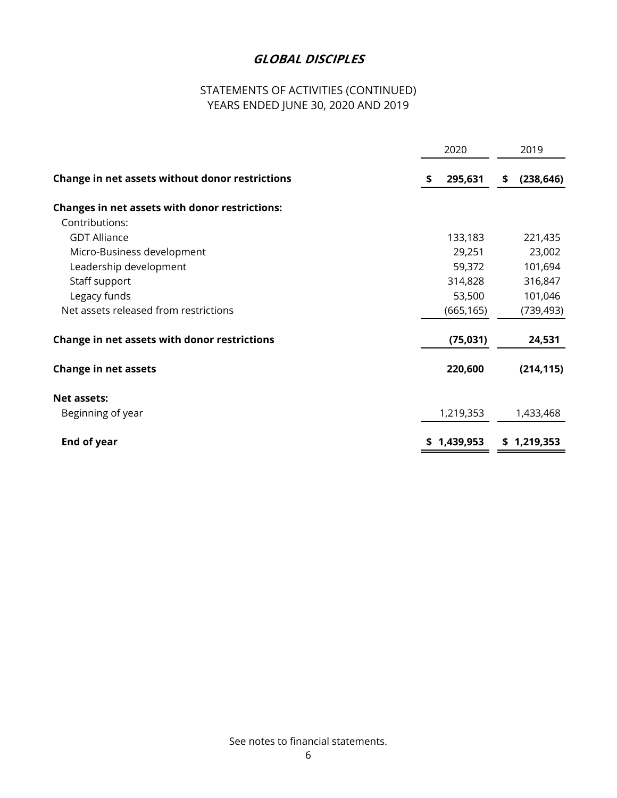## STATEMENTS OF ACTIVITIES (CONTINUED) YEARS ENDED JUNE 30, 2020 AND 2019

|                                                 | 2020          | 2019             |
|-------------------------------------------------|---------------|------------------|
| Change in net assets without donor restrictions | \$<br>295,631 | \$<br>(238, 646) |
| Changes in net assets with donor restrictions:  |               |                  |
| Contributions:                                  |               |                  |
| <b>GDT Alliance</b>                             | 133,183       | 221,435          |
| Micro-Business development                      | 29,251        | 23,002           |
| Leadership development                          | 59,372        | 101,694          |
| Staff support                                   | 314,828       | 316,847          |
| Legacy funds                                    | 53,500        | 101,046          |
| Net assets released from restrictions           | (665, 165)    | (739, 493)       |
| Change in net assets with donor restrictions    | (75, 031)     | 24,531           |
| <b>Change in net assets</b>                     | 220,600       | (214, 115)       |
| Net assets:                                     |               |                  |
| Beginning of year                               | 1,219,353     | 1,433,468        |
| <b>End of year</b>                              | \$1,439,953   | \$1,219,353      |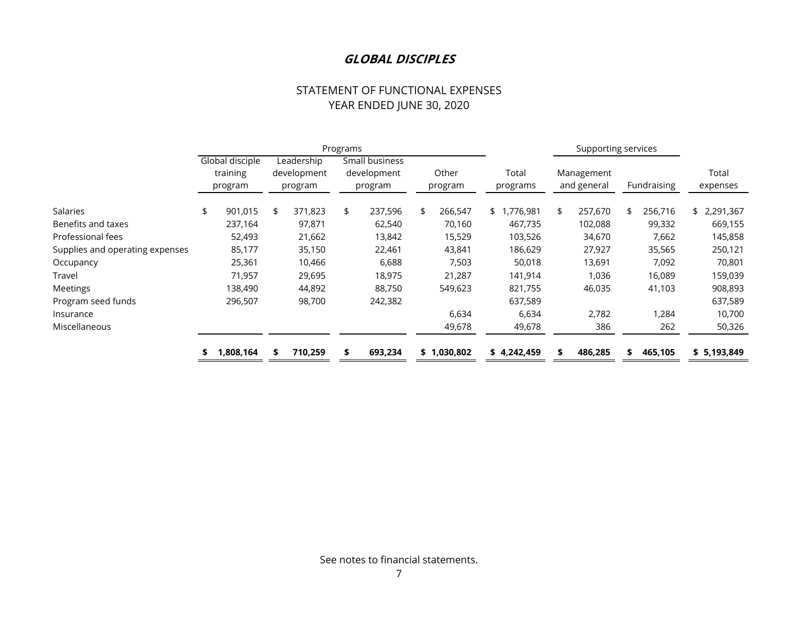## STATEMENT OF FUNCTIONAL EXPENSES YEAR ENDED JUNE 30, 2020

|                                 |                                        | Programs                             |    | Supporting services                      |                  |                   |    |                           |  |             |                   |
|---------------------------------|----------------------------------------|--------------------------------------|----|------------------------------------------|------------------|-------------------|----|---------------------------|--|-------------|-------------------|
|                                 | Global disciple<br>training<br>program | Leadership<br>development<br>program |    | Small business<br>development<br>program | Other<br>program | Total<br>programs |    | Management<br>and general |  | Fundraising | Total<br>expenses |
| Salaries                        | \$<br>901,015                          | \$<br>371,823                        | \$ | 237,596                                  | \$<br>266,547    | ,776,981<br>\$    | \$ | 257,670                   |  | 256,716     | \$2,291,367       |
| Benefits and taxes              | 237,164                                | 97,871                               |    | 62,540                                   | 70,160           | 467,735           |    | 102,088                   |  | 99,332      | 669,155           |
| Professional fees               | 52,493                                 | 21,662                               |    | 13,842                                   | 15,529           | 103,526           |    | 34,670                    |  | 7,662       | 145,858           |
| Supplies and operating expenses | 85,177                                 | 35,150                               |    | 22,461                                   | 43,841           | 186,629           |    | 27,927                    |  | 35,565      | 250,121           |
| Occupancy                       | 25,361                                 | 10,466                               |    | 6,688                                    | 7,503            | 50,018            |    | 13,691                    |  | 7,092       | 70,801            |
| Travel                          | 71,957                                 | 29,695                               |    | 18,975                                   | 21,287           | 141,914           |    | 1,036                     |  | 16,089      | 159,039           |
| Meetings                        | 138,490                                | 44,892                               |    | 88,750                                   | 549,623          | 821,755           |    | 46,035                    |  | 41,103      | 908,893           |
| Program seed funds              | 296,507                                | 98,700                               |    | 242,382                                  |                  | 637,589           |    |                           |  |             | 637,589           |
| Insurance                       |                                        |                                      |    |                                          | 6,634            | 6,634             |    | 2,782                     |  | 1,284       | 10,700            |
| Miscellaneous                   |                                        |                                      |    |                                          | 49,678           | 49,678            |    | 386                       |  | 262         | 50,326            |
|                                 | 1,808,164                              | 710,259                              |    | 693,234                                  | \$1,030,802      | \$4,242,459       |    | 486,285                   |  | 465,105     | \$5,193,849       |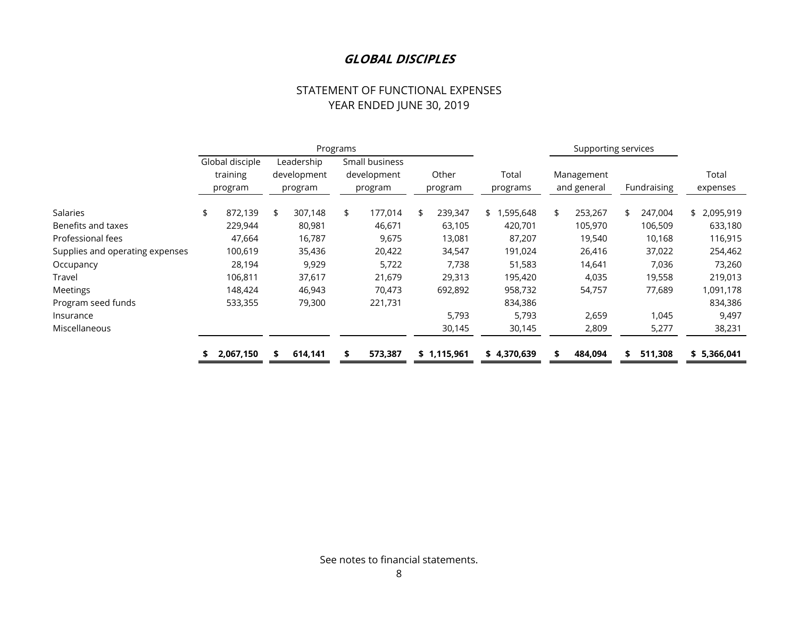## STATEMENT OF FUNCTIONAL EXPENSES YEAR ENDED JUNE 30, 2019

|                                 |                 |               | Programs |                | Supporting services |                |    |             |    |             |              |
|---------------------------------|-----------------|---------------|----------|----------------|---------------------|----------------|----|-------------|----|-------------|--------------|
|                                 | Global disciple | Leadership    |          | Small business |                     |                |    |             |    |             |              |
|                                 | training        | development   |          | development    | Other               | Total          |    | Management  |    |             | Total        |
|                                 | program         | program       |          | program        | program             | programs       |    | and general |    | Fundraising | expenses     |
| <b>Salaries</b>                 | \$<br>872,139   | \$<br>307,148 | \$       | 177,014        | \$<br>239,347       | ,595,648<br>\$ | \$ | 253,267     | \$ | 247,004     | \$ 2,095,919 |
| Benefits and taxes              | 229,944         | 80,981        |          | 46,671         | 63,105              | 420,701        |    | 105,970     |    | 106,509     | 633,180      |
| Professional fees               | 47,664          | 16,787        |          | 9,675          | 13,081              | 87,207         |    | 19,540      |    | 10,168      | 116,915      |
| Supplies and operating expenses | 100,619         | 35,436        |          | 20,422         | 34,547              | 191,024        |    | 26,416      |    | 37,022      | 254,462      |
| Occupancy                       | 28,194          | 9,929         |          | 5,722          | 7,738               | 51,583         |    | 14,641      |    | 7,036       | 73,260       |
| Travel                          | 106,811         | 37,617        |          | 21,679         | 29,313              | 195,420        |    | 4,035       |    | 19,558      | 219,013      |
| Meetings                        | 148,424         | 46,943        |          | 70,473         | 692,892             | 958,732        |    | 54,757      |    | 77,689      | 1,091,178    |
| Program seed funds              | 533,355         | 79,300        |          | 221,731        |                     | 834,386        |    |             |    |             | 834,386      |
| Insurance                       |                 |               |          |                | 5,793               | 5,793          |    | 2,659       |    | 1,045       | 9,497        |
| Miscellaneous                   |                 |               |          |                | 30,145              | 30,145         |    | 2,809       |    | 5,277       | 38,231       |
|                                 | 2,067,150       | 614,141       |          | 573,387        | \$1,115,961         | \$4,370,639    | \$ | 484,094     |    | 511,308     | \$5,366,041  |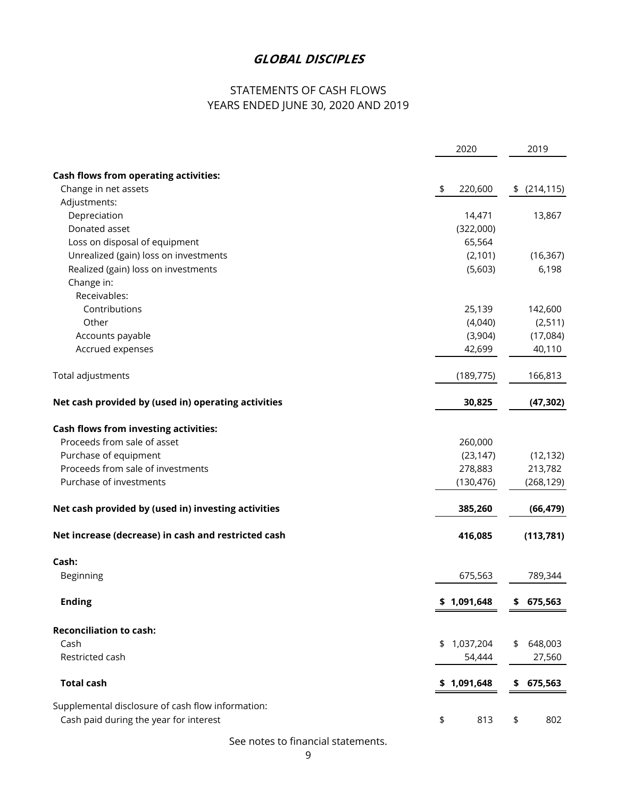# STATEMENTS OF CASH FLOWS YEARS ENDED JUNE 30, 2020 AND 2019

|                                                     | 2020            | 2019          |  |
|-----------------------------------------------------|-----------------|---------------|--|
| <b>Cash flows from operating activities:</b>        |                 |               |  |
| Change in net assets                                | 220,600<br>\$   | \$ (214, 115) |  |
| Adjustments:                                        |                 |               |  |
| Depreciation                                        | 14,471          | 13,867        |  |
| Donated asset                                       | (322,000)       |               |  |
| Loss on disposal of equipment                       | 65,564          |               |  |
| Unrealized (gain) loss on investments               | (2, 101)        | (16, 367)     |  |
| Realized (gain) loss on investments                 | (5,603)         | 6,198         |  |
| Change in:                                          |                 |               |  |
| Receivables:                                        |                 |               |  |
| Contributions                                       | 25,139          | 142,600       |  |
| Other                                               | (4,040)         | (2, 511)      |  |
| Accounts payable                                    | (3,904)         | (17,084)      |  |
| Accrued expenses                                    | 42,699          | 40,110        |  |
| Total adjustments                                   | (189, 775)      | 166,813       |  |
| Net cash provided by (used in) operating activities | 30,825          | (47, 302)     |  |
| <b>Cash flows from investing activities:</b>        |                 |               |  |
| Proceeds from sale of asset                         | 260,000         |               |  |
| Purchase of equipment                               | (23, 147)       | (12, 132)     |  |
| Proceeds from sale of investments                   | 278,883         | 213,782       |  |
| Purchase of investments                             | (130, 476)      | (268, 129)    |  |
| Net cash provided by (used in) investing activities | 385,260         | (66, 479)     |  |
| Net increase (decrease) in cash and restricted cash | 416,085         | (113, 781)    |  |
| Cash:                                               |                 |               |  |
| Beginning                                           | 675,563         | 789,344       |  |
| <b>Ending</b>                                       | \$1,091,648     | \$ 675,563    |  |
| <b>Reconciliation to cash:</b>                      |                 |               |  |
| Cash                                                | 1,037,204<br>\$ | 648,003<br>\$ |  |
| Restricted cash                                     | 54,444          | 27,560        |  |
| <b>Total cash</b>                                   | \$1,091,648     | \$675,563     |  |
| Supplemental disclosure of cash flow information:   |                 |               |  |
| Cash paid during the year for interest              | \$<br>813       | \$<br>802     |  |

See notes to financial statements.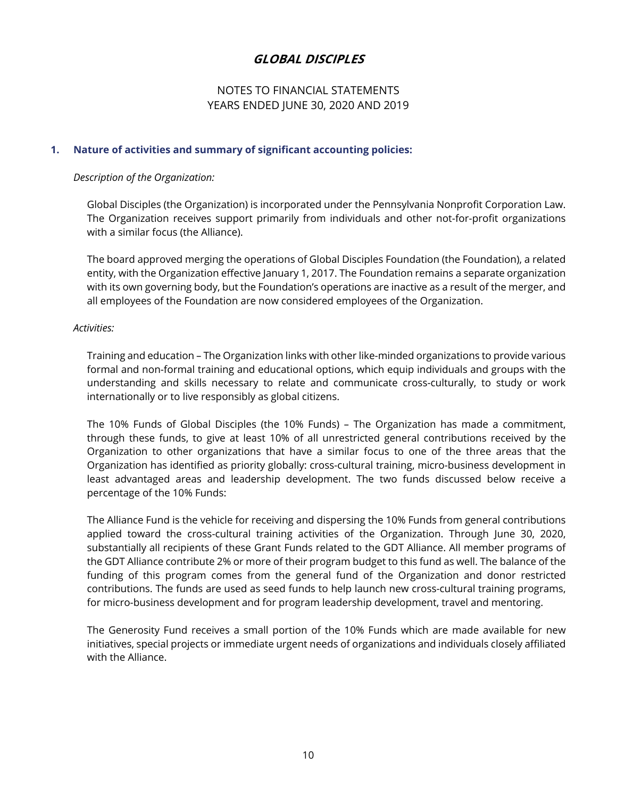## NOTES TO FINANCIAL STATEMENTS YEARS ENDED JUNE 30, 2020 AND 2019

#### **1. Nature of activities and summary of significant accounting policies:**

#### *Description of the Organization:*

 Global Disciples (the Organization) is incorporated under the Pennsylvania Nonprofit Corporation Law. The Organization receives support primarily from individuals and other not-for-profit organizations with a similar focus (the Alliance).

 The board approved merging the operations of Global Disciples Foundation (the Foundation), a related entity, with the Organization effective January 1, 2017. The Foundation remains a separate organization with its own governing body, but the Foundation's operations are inactive as a result of the merger, and all employees of the Foundation are now considered employees of the Organization.

#### *Activities:*

 Training and education – The Organization links with other like-minded organizations to provide various formal and non-formal training and educational options, which equip individuals and groups with the understanding and skills necessary to relate and communicate cross-culturally, to study or work internationally or to live responsibly as global citizens.

 The 10% Funds of Global Disciples (the 10% Funds) – The Organization has made a commitment, through these funds, to give at least 10% of all unrestricted general contributions received by the Organization to other organizations that have a similar focus to one of the three areas that the Organization has identified as priority globally: cross-cultural training, micro-business development in least advantaged areas and leadership development. The two funds discussed below receive a percentage of the 10% Funds:

 The Alliance Fund is the vehicle for receiving and dispersing the 10% Funds from general contributions applied toward the cross-cultural training activities of the Organization. Through June 30, 2020, substantially all recipients of these Grant Funds related to the GDT Alliance. All member programs of the GDT Alliance contribute 2% or more of their program budget to this fund as well. The balance of the funding of this program comes from the general fund of the Organization and donor restricted contributions. The funds are used as seed funds to help launch new cross-cultural training programs, for micro-business development and for program leadership development, travel and mentoring.

 The Generosity Fund receives a small portion of the 10% Funds which are made available for new initiatives, special projects or immediate urgent needs of organizations and individuals closely affiliated with the Alliance.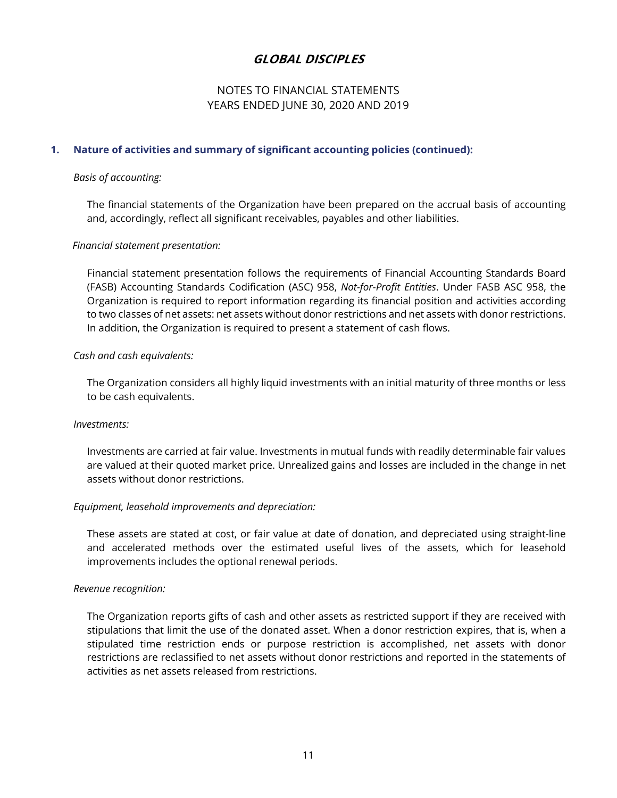## NOTES TO FINANCIAL STATEMENTS YEARS ENDED JUNE 30, 2020 AND 2019

#### **1. Nature of activities and summary of significant accounting policies (continued):**

#### *Basis of accounting:*

 The financial statements of the Organization have been prepared on the accrual basis of accounting and, accordingly, reflect all significant receivables, payables and other liabilities.

#### *Financial statement presentation:*

Financial statement presentation follows the requirements of Financial Accounting Standards Board (FASB) Accounting Standards Codification (ASC) 958, *Not-for-Profit Entities*. Under FASB ASC 958, the Organization is required to report information regarding its financial position and activities according to two classes of net assets: net assets without donor restrictions and net assets with donor restrictions. In addition, the Organization is required to present a statement of cash flows.

#### *Cash and cash equivalents:*

 The Organization considers all highly liquid investments with an initial maturity of three months or less to be cash equivalents.

#### *Investments:*

 Investments are carried at fair value. Investments in mutual funds with readily determinable fair values are valued at their quoted market price. Unrealized gains and losses are included in the change in net assets without donor restrictions.

#### *Equipment, leasehold improvements and depreciation:*

 These assets are stated at cost, or fair value at date of donation, and depreciated using straight-line and accelerated methods over the estimated useful lives of the assets, which for leasehold improvements includes the optional renewal periods.

#### *Revenue recognition:*

 The Organization reports gifts of cash and other assets as restricted support if they are received with stipulations that limit the use of the donated asset. When a donor restriction expires, that is, when a stipulated time restriction ends or purpose restriction is accomplished, net assets with donor restrictions are reclassified to net assets without donor restrictions and reported in the statements of activities as net assets released from restrictions.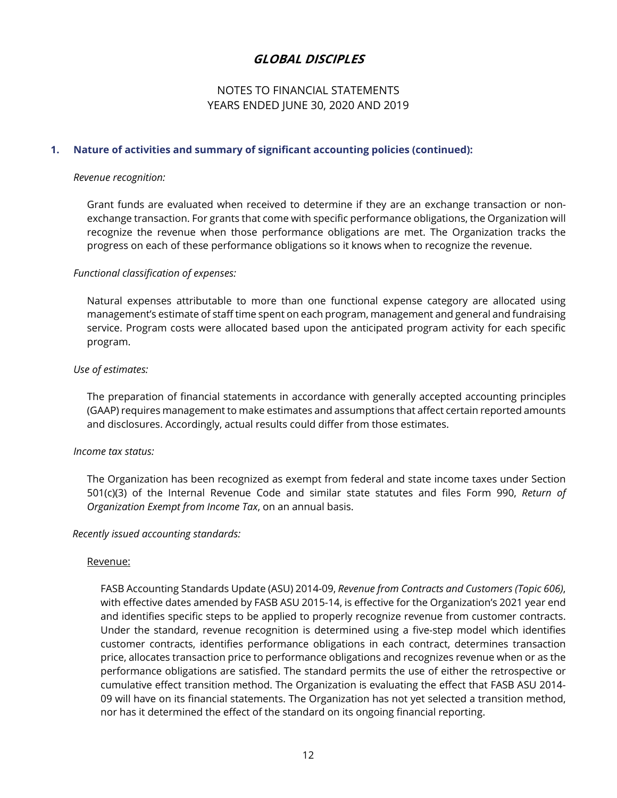## NOTES TO FINANCIAL STATEMENTS YEARS ENDED JUNE 30, 2020 AND 2019

#### **1. Nature of activities and summary of significant accounting policies (continued):**

#### *Revenue recognition:*

 Grant funds are evaluated when received to determine if they are an exchange transaction or nonexchange transaction. For grants that come with specific performance obligations, the Organization will recognize the revenue when those performance obligations are met. The Organization tracks the progress on each of these performance obligations so it knows when to recognize the revenue.

#### *Functional classification of expenses:*

 Natural expenses attributable to more than one functional expense category are allocated using management's estimate of staff time spent on each program, management and general and fundraising service. Program costs were allocated based upon the anticipated program activity for each specific program.

#### *Use of estimates:*

 The preparation of financial statements in accordance with generally accepted accounting principles (GAAP) requires management to make estimates and assumptions that affect certain reported amounts and disclosures. Accordingly, actual results could differ from those estimates.

#### *Income tax status:*

 The Organization has been recognized as exempt from federal and state income taxes under Section 501(c)(3) of the Internal Revenue Code and similar state statutes and files Form 990, *Return of Organization Exempt from Income Tax*, on an annual basis.

#### *Recently issued accounting standards:*

#### Revenue:

 FASB Accounting Standards Update (ASU) 2014-09, *Revenue from Contracts and Customers (Topic 606)*, with effective dates amended by FASB ASU 2015-14, is effective for the Organization's 2021 year end and identifies specific steps to be applied to properly recognize revenue from customer contracts. Under the standard, revenue recognition is determined using a five-step model which identifies customer contracts, identifies performance obligations in each contract, determines transaction price, allocates transaction price to performance obligations and recognizes revenue when or as the performance obligations are satisfied. The standard permits the use of either the retrospective or cumulative effect transition method. The Organization is evaluating the effect that FASB ASU 2014- 09 will have on its financial statements. The Organization has not yet selected a transition method, nor has it determined the effect of the standard on its ongoing financial reporting.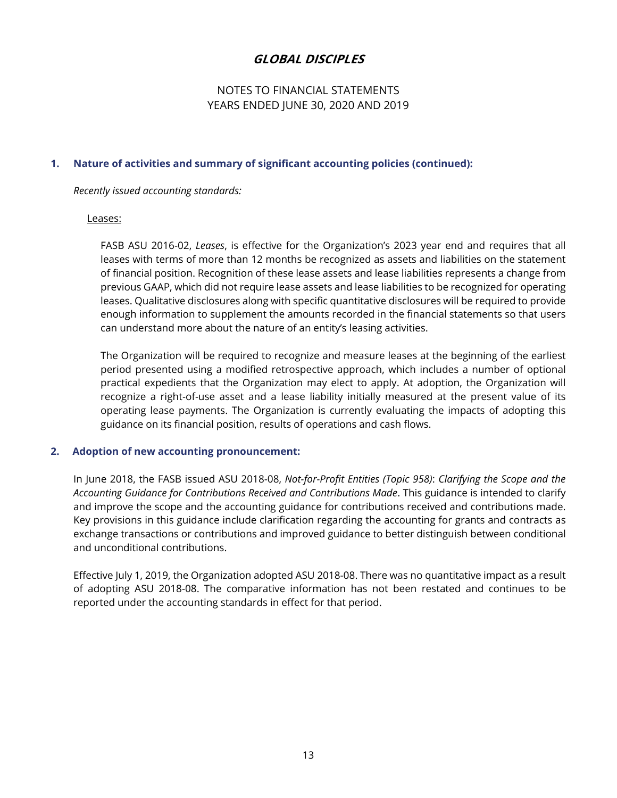## NOTES TO FINANCIAL STATEMENTS YEARS ENDED JUNE 30, 2020 AND 2019

#### **1. Nature of activities and summary of significant accounting policies (continued):**

 *Recently issued accounting standards:* 

#### Leases:

FASB ASU 2016-02, *Leases*, is effective for the Organization's 2023 year end and requires that all leases with terms of more than 12 months be recognized as assets and liabilities on the statement of financial position. Recognition of these lease assets and lease liabilities represents a change from previous GAAP, which did not require lease assets and lease liabilities to be recognized for operating leases. Qualitative disclosures along with specific quantitative disclosures will be required to provide enough information to supplement the amounts recorded in the financial statements so that users can understand more about the nature of an entity's leasing activities.

The Organization will be required to recognize and measure leases at the beginning of the earliest period presented using a modified retrospective approach, which includes a number of optional practical expedients that the Organization may elect to apply. At adoption, the Organization will recognize a right-of-use asset and a lease liability initially measured at the present value of its operating lease payments. The Organization is currently evaluating the impacts of adopting this guidance on its financial position, results of operations and cash flows.

#### **2. Adoption of new accounting pronouncement:**

In June 2018, the FASB issued ASU 2018-08, *Not-for-Profit Entities (Topic 958)*: *Clarifying the Scope and the Accounting Guidance for Contributions Received and Contributions Made*. This guidance is intended to clarify and improve the scope and the accounting guidance for contributions received and contributions made. Key provisions in this guidance include clarification regarding the accounting for grants and contracts as exchange transactions or contributions and improved guidance to better distinguish between conditional and unconditional contributions.

Effective July 1, 2019, the Organization adopted ASU 2018-08. There was no quantitative impact as a result of adopting ASU 2018-08. The comparative information has not been restated and continues to be reported under the accounting standards in effect for that period.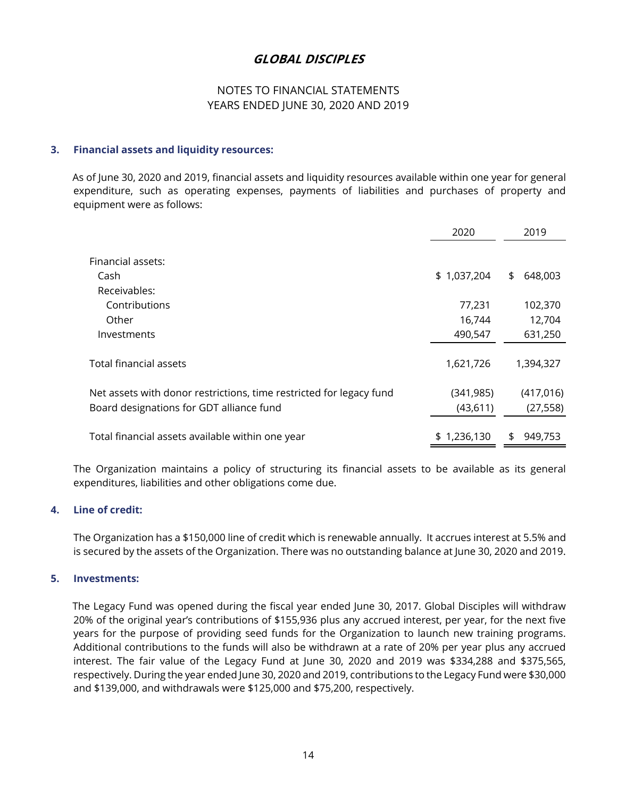## NOTES TO FINANCIAL STATEMENTS YEARS ENDED JUNE 30, 2020 AND 2019

#### **3. Financial assets and liquidity resources:**

 As of June 30, 2020 and 2019, financial assets and liquidity resources available within one year for general expenditure, such as operating expenses, payments of liabilities and purchases of property and equipment were as follows:

|                                                                     | 2020        | 2019          |
|---------------------------------------------------------------------|-------------|---------------|
| Financial assets:                                                   |             |               |
| Cash                                                                | \$1,037,204 | 648,003<br>\$ |
| Receivables:                                                        |             |               |
| Contributions                                                       | 77,231      | 102,370       |
| Other                                                               | 16,744      | 12,704        |
| Investments                                                         | 490,547     | 631,250       |
| Total financial assets                                              | 1,621,726   | 1,394,327     |
| Net assets with donor restrictions, time restricted for legacy fund | (341, 985)  | (417,016)     |
| Board designations for GDT alliance fund                            | (43, 611)   | (27, 558)     |
| Total financial assets available within one year                    | \$1,236,130 | 949,753<br>\$ |

 The Organization maintains a policy of structuring its financial assets to be available as its general expenditures, liabilities and other obligations come due.

#### **4. Line of credit:**

 The Organization has a \$150,000 line of credit which is renewable annually. It accrues interest at 5.5% and is secured by the assets of the Organization. There was no outstanding balance at June 30, 2020 and 2019.

#### **5. Investments:**

 The Legacy Fund was opened during the fiscal year ended June 30, 2017. Global Disciples will withdraw 20% of the original year's contributions of \$155,936 plus any accrued interest, per year, for the next five years for the purpose of providing seed funds for the Organization to launch new training programs. Additional contributions to the funds will also be withdrawn at a rate of 20% per year plus any accrued interest. The fair value of the Legacy Fund at June 30, 2020 and 2019 was \$334,288 and \$375,565, respectively. During the year ended June 30, 2020 and 2019, contributions to the Legacy Fund were \$30,000 and \$139,000, and withdrawals were \$125,000 and \$75,200, respectively.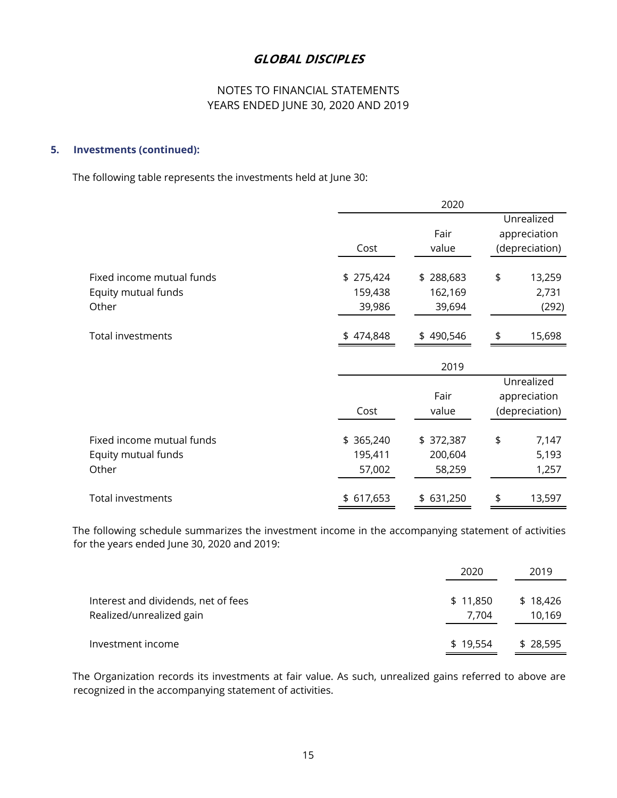## NOTES TO FINANCIAL STATEMENTS YEARS ENDED JUNE 30, 2020 AND 2019

#### **5. Investments (continued):**

The following table represents the investments held at June 30:

|                           |           | 2020      |                |
|---------------------------|-----------|-----------|----------------|
|                           |           |           | Unrealized     |
|                           |           | Fair      | appreciation   |
|                           | Cost      | value     | (depreciation) |
| Fixed income mutual funds | \$275,424 | \$288,683 | \$             |
|                           |           |           | 13,259         |
| Equity mutual funds       | 159,438   | 162,169   | 2,731          |
| Other                     | 39,986    | 39,694    | (292)          |
| Total investments         | \$474,848 | \$490,546 | \$<br>15,698   |
|                           |           | 2019      |                |
|                           |           |           | Unrealized     |
|                           |           | Fair      | appreciation   |
|                           | Cost      | value     | (depreciation) |
|                           |           |           |                |
| Fixed income mutual funds | \$365,240 | \$372,387 | \$<br>7,147    |
| Equity mutual funds       | 195,411   | 200,604   | 5,193          |
| Other                     | 57,002    | 58,259    | 1,257          |
|                           |           |           |                |
|                           |           |           |                |

 The following schedule summarizes the investment income in the accompanying statement of activities for the years ended June 30, 2020 and 2019:

|                                     | 2020     | 2019      |
|-------------------------------------|----------|-----------|
| Interest and dividends, net of fees | \$11,850 | \$18,426  |
| Realized/unrealized gain            | 7,704    | 10,169    |
| Investment income                   | \$19,554 | \$ 28,595 |

 The Organization records its investments at fair value. As such, unrealized gains referred to above are recognized in the accompanying statement of activities.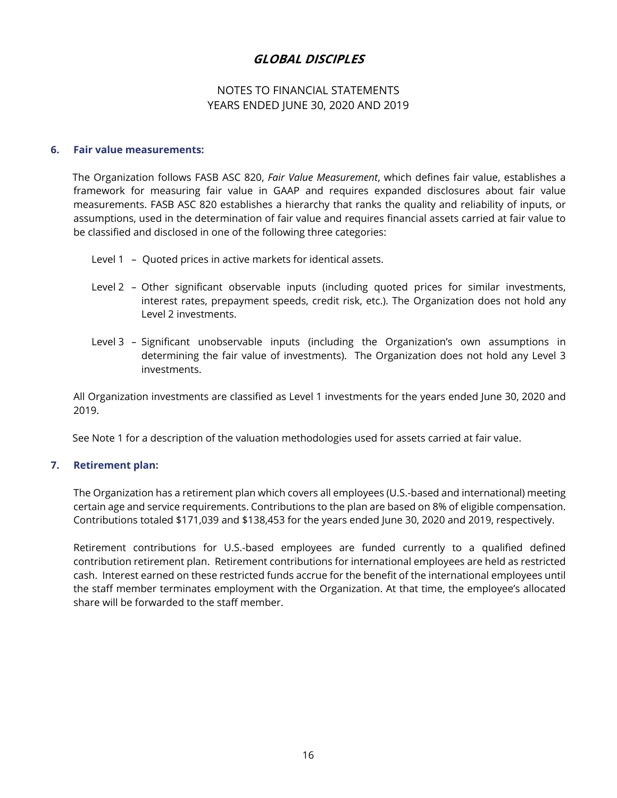## NOTES TO FINANCIAL STATEMENTS YEARS ENDED JUNE 30, 2020 AND 2019

#### **6. Fair value measurements:**

 The Organization follows FASB ASC 820, *Fair Value Measurement*, which defines fair value, establishes a framework for measuring fair value in GAAP and requires expanded disclosures about fair value measurements. FASB ASC 820 establishes a hierarchy that ranks the quality and reliability of inputs, or assumptions, used in the determination of fair value and requires financial assets carried at fair value to be classified and disclosed in one of the following three categories:

- Level 1 Quoted prices in active markets for identical assets.
- Level 2 Other significant observable inputs (including quoted prices for similar investments, interest rates, prepayment speeds, credit risk, etc.). The Organization does not hold any Level 2 investments.
- Level 3 Significant unobservable inputs (including the Organization's own assumptions in determining the fair value of investments). The Organization does not hold any Level 3 investments.

 All Organization investments are classified as Level 1 investments for the years ended June 30, 2020 and 2019.

See Note 1 for a description of the valuation methodologies used for assets carried at fair value.

#### **7. Retirement plan:**

 The Organization has a retirement plan which covers all employees (U.S.-based and international) meeting certain age and service requirements. Contributions to the plan are based on 8% of eligible compensation. Contributions totaled \$171,039 and \$138,453 for the years ended June 30, 2020 and 2019, respectively.

 Retirement contributions for U.S.-based employees are funded currently to a qualified defined contribution retirement plan. Retirement contributions for international employees are held as restricted cash. Interest earned on these restricted funds accrue for the benefit of the international employees until the staff member terminates employment with the Organization. At that time, the employee's allocated share will be forwarded to the staff member.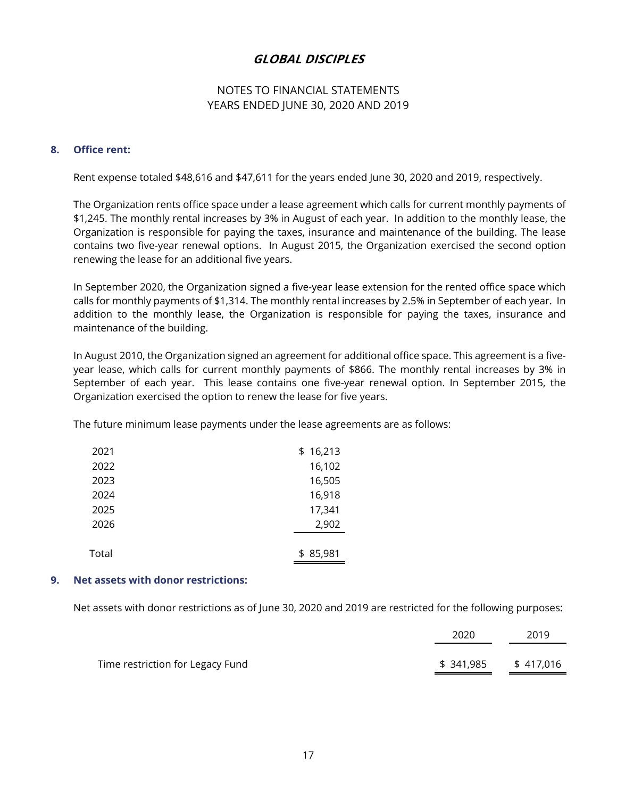## NOTES TO FINANCIAL STATEMENTS YEARS ENDED JUNE 30, 2020 AND 2019

#### **8. Office rent:**

Rent expense totaled \$48,616 and \$47,611 for the years ended June 30, 2020 and 2019, respectively.

 The Organization rents office space under a lease agreement which calls for current monthly payments of \$1,245. The monthly rental increases by 3% in August of each year. In addition to the monthly lease, the Organization is responsible for paying the taxes, insurance and maintenance of the building. The lease contains two five-year renewal options. In August 2015, the Organization exercised the second option renewing the lease for an additional five years.

 In September 2020, the Organization signed a five-year lease extension for the rented office space which calls for monthly payments of \$1,314. The monthly rental increases by 2.5% in September of each year. In addition to the monthly lease, the Organization is responsible for paying the taxes, insurance and maintenance of the building.

 In August 2010, the Organization signed an agreement for additional office space. This agreement is a fiveyear lease, which calls for current monthly payments of \$866. The monthly rental increases by 3% in September of each year. This lease contains one five-year renewal option. In September 2015, the Organization exercised the option to renew the lease for five years.

The future minimum lease payments under the lease agreements are as follows:

| 2021  | \$16,213 |
|-------|----------|
| 2022  | 16,102   |
| 2023  | 16,505   |
| 2024  | 16,918   |
| 2025  | 17,341   |
| 2026  | 2,902    |
|       |          |
| Total | \$85,981 |

#### **9. Net assets with donor restrictions:**

Net assets with donor restrictions as of June 30, 2020 and 2019 are restricted for the following purposes:

|                                  | 2020      | 2019      |
|----------------------------------|-----------|-----------|
| Time restriction for Legacy Fund | \$341,985 | \$417,016 |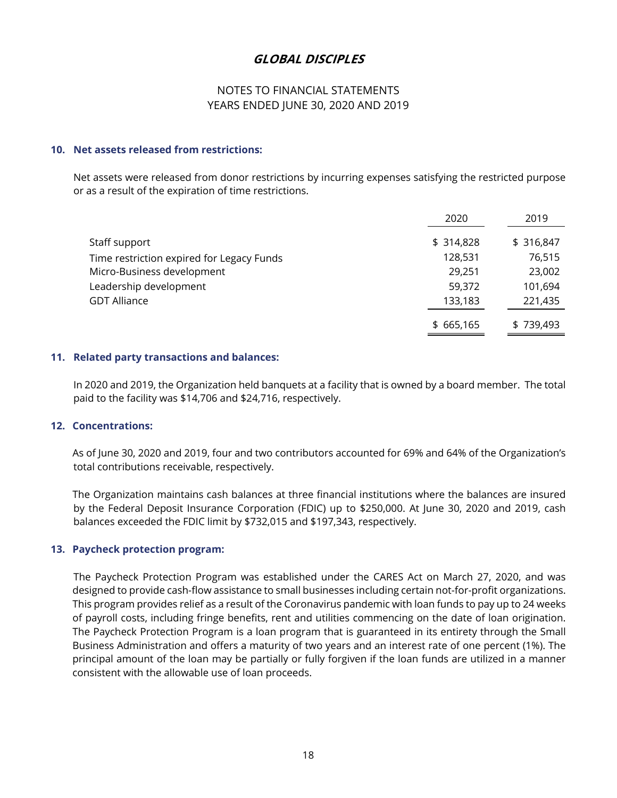## NOTES TO FINANCIAL STATEMENTS YEARS ENDED JUNE 30, 2020 AND 2019

#### **10. Net assets released from restrictions:**

 Net assets were released from donor restrictions by incurring expenses satisfying the restricted purpose or as a result of the expiration of time restrictions.

|                                           | 2020      | 2019       |
|-------------------------------------------|-----------|------------|
| Staff support                             | \$314,828 | \$ 316,847 |
| Time restriction expired for Legacy Funds | 128,531   | 76,515     |
| Micro-Business development                | 29,251    | 23,002     |
| Leadership development                    | 59,372    | 101,694    |
| <b>GDT Alliance</b>                       | 133,183   | 221,435    |
|                                           | \$665,165 | \$739,493  |

#### **11. Related party transactions and balances:**

 In 2020 and 2019, the Organization held banquets at a facility that is owned by a board member. The total paid to the facility was \$14,706 and \$24,716, respectively.

#### **12. Concentrations:**

 As of June 30, 2020 and 2019, four and two contributors accounted for 69% and 64% of the Organization's total contributions receivable, respectively.

 The Organization maintains cash balances at three financial institutions where the balances are insured by the Federal Deposit Insurance Corporation (FDIC) up to \$250,000. At June 30, 2020 and 2019, cash balances exceeded the FDIC limit by \$732,015 and \$197,343, respectively.

#### **13. Paycheck protection program:**

 The Paycheck Protection Program was established under the CARES Act on March 27, 2020, and was designed to provide cash-flow assistance to small businesses including certain not-for-profit organizations. This program provides relief as a result of the Coronavirus pandemic with loan funds to pay up to 24 weeks of payroll costs, including fringe benefits, rent and utilities commencing on the date of loan origination. The Paycheck Protection Program is a loan program that is guaranteed in its entirety through the Small Business Administration and offers a maturity of two years and an interest rate of one percent (1%). The principal amount of the loan may be partially or fully forgiven if the loan funds are utilized in a manner consistent with the allowable use of loan proceeds.